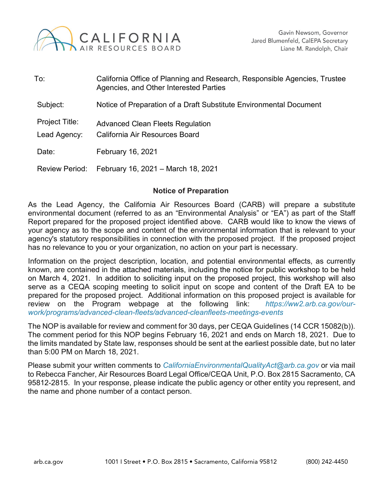

| To:                            | California Office of Planning and Research, Responsible Agencies, Trustee<br>Agencies, and Other Interested Parties |
|--------------------------------|---------------------------------------------------------------------------------------------------------------------|
| Subject:                       | Notice of Preparation of a Draft Substitute Environmental Document                                                  |
| Project Title:<br>Lead Agency: | Advanced Clean Fleets Regulation<br>California Air Resources Board                                                  |
| Date:                          | February 16, 2021                                                                                                   |
| <b>Review Period:</b>          | February 16, 2021 - March 18, 2021                                                                                  |

### **Notice of Preparation**

As the Lead Agency, the California Air Resources Board (CARB) will prepare a substitute environmental document (referred to as an "Environmental Analysis" or "EA") as part of the Staff Report prepared for the proposed project identified above. CARB would like to know the views of your agency as to the scope and content of the environmental information that is relevant to your agency's statutory responsibilities in connection with the proposed project. If the proposed project has no relevance to you or your organization, no action on your part is necessary.

Information on the project description, location, and potential environmental effects, as currently known, are contained in the attached materials, including the notice for public workshop to be held on March 4, 2021. In addition to soliciting input on the proposed project, this workshop will also serve as a CEQA scoping meeting to solicit input on scope and content of the Draft EA to be prepared for the proposed project. Additional information on this proposed project is available for review on the Program webpage at the following link: *[https://ww2.arb.ca.gov/our](https://ww2.arb.ca.gov/our-work/programs/advanced-clean-fleets/advanced-cleanfleets-meetings-events)[work/programs/advanced-clean-fleets/advanced-cleanfleets-meetings-events](https://ww2.arb.ca.gov/our-work/programs/advanced-clean-fleets/advanced-cleanfleets-meetings-events)*

The NOP is available for review and comment for 30 days, per CEQA Guidelines (14 CCR 15082(b)). The comment period for this NOP begins February 16, 2021 and ends on March 18, 2021. Due to the limits mandated by State law, responses should be sent at the earliest possible date, but no later than 5:00 PM on March 18, 2021.

Please submit your written comments to *[CaliforniaEnvironmentalQualityAct@arb.ca.gov](mailto:CaliforniaEnvironmentalQualityAct@arb.ca.gov)* or via mail to Rebecca Fancher, Air Resources Board Legal Office/CEQA Unit, P.O. Box 2815 Sacramento, CA 95812-2815. In your response, please indicate the public agency or other entity you represent, and the name and phone number of a contact person.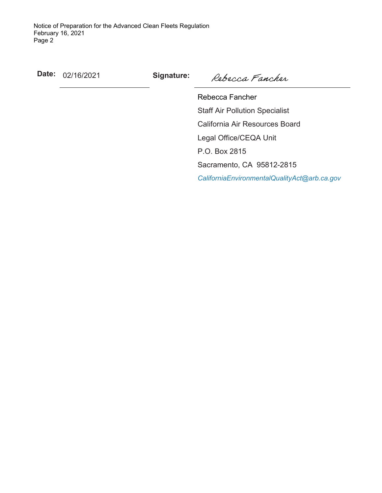**Date:** 02/16/2021 **Signature:**

Rebecca Fancher

Rebecca Fancher Staff Air Pollution Specialist California Air Resources Board Legal Office/CEQA Unit P.O. Box 2815 Sacramento, CA 95812-2815 *[CaliforniaEnvironmentalQualityAct@arb.ca.gov](mailto:CaliforniaEnvironmentalQualityAct@arb.ca.gov)*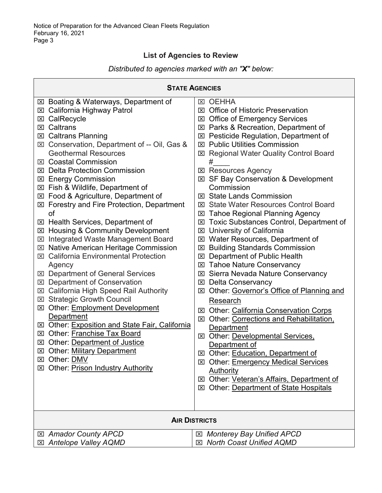### **List of Agencies to Review**

### *Distributed to agencies marked with an "X" below:*

| <b>STATE AGENCIES</b>                                                                                                                                                                                                                                                                                                                                                                                                                                                                                                                                                                                                                                                                                                                                                                                                                                                                                                                                                                                                                                                                                                                                                          |                                                                                                                                                                                                                                                                                                                                                                                                                                                                                                                                                                                                                                                                                                                                                                                                                                                                                                                                                                                                                                                                                                                                                                                                                                                                                                  |  |  |
|--------------------------------------------------------------------------------------------------------------------------------------------------------------------------------------------------------------------------------------------------------------------------------------------------------------------------------------------------------------------------------------------------------------------------------------------------------------------------------------------------------------------------------------------------------------------------------------------------------------------------------------------------------------------------------------------------------------------------------------------------------------------------------------------------------------------------------------------------------------------------------------------------------------------------------------------------------------------------------------------------------------------------------------------------------------------------------------------------------------------------------------------------------------------------------|--------------------------------------------------------------------------------------------------------------------------------------------------------------------------------------------------------------------------------------------------------------------------------------------------------------------------------------------------------------------------------------------------------------------------------------------------------------------------------------------------------------------------------------------------------------------------------------------------------------------------------------------------------------------------------------------------------------------------------------------------------------------------------------------------------------------------------------------------------------------------------------------------------------------------------------------------------------------------------------------------------------------------------------------------------------------------------------------------------------------------------------------------------------------------------------------------------------------------------------------------------------------------------------------------|--|--|
| ⊠ Boating & Waterways, Department of<br>⊠ California Highway Patrol<br>CalRecycle<br>⊠<br>⊠ Caltrans<br><b>Caltrans Planning</b><br>⊠<br>Conservation, Department of -- Oil, Gas &<br>$\boxtimes$<br><b>Geothermal Resources</b><br><b>⊠</b> Coastal Commission<br><b>⊠</b> Delta Protection Commission<br><b>⊠ Energy Commission</b><br>⊠ Fish & Wildlife, Department of<br>⊠ Food & Agriculture, Department of<br>⊠ Forestry and Fire Protection, Department<br>of<br>⊠ Health Services, Department of<br>⊠ Housing & Community Development<br>Integrated Waste Management Board<br>$\mathbf{X}$<br>⊠ Native American Heritage Commission<br><b>California Environmental Protection</b><br>$\vert x \vert$<br>Agency<br>⊠ Department of General Services<br>⊠ Department of Conservation<br><b>California High Speed Rail Authority</b><br>$\boxtimes$<br>⊠ Strategic Growth Council<br>Other: Employment Development<br>⊠<br>Department<br>⊠ Other: Exposition and State Fair, California<br><b>⊠</b> Other: Franchise Tax Board<br><b>EXI</b> Other: Department of Justice<br>Other: Military Department<br>⊠<br>⊠ Other: <b>DMV</b><br>⊠ Other: Prison Industry Authority | <b>OEHHA</b><br>⊠<br><b>Office of Historic Preservation</b><br>ᢂ<br>⊠ Office of Emergency Services<br>⊠ Parks & Recreation, Department of<br>⊠ Pesticide Regulation, Department of<br><b>⊠ Public Utilities Commission</b><br><b>Regional Water Quality Control Board</b><br>$\mathbf{\Sigma}$<br>#<br><b>図 Resources Agency</b><br>⊠ SF Bay Conservation & Development<br>Commission<br><b>State Lands Commission</b><br>$\overline{\mathsf{x}}$<br><b>⊠ State Water Resources Control Board</b><br>⊠ Tahoe Regional Planning Agency<br><b>Toxic Substances Control, Department of</b><br>⊠<br>University of California<br>⊠<br>⊠ Water Resources, Department of<br>⊠ Building Standards Commission<br>Department of Public Health<br>⊠<br><b>⊠ Tahoe Nature Conservancy</b><br>⊠ Sierra Nevada Nature Conservancy<br><b>⊠</b> Delta Conservancy<br>Other: Governor's Office of Planning and<br>⊠<br>Research<br>⊠ Other: California Conservation Corps<br>Other: Corrections and Rehabilitation,<br>⊠<br>Department<br>⊠ Other: Developmental Services.<br>Department of<br>⊠ Other: Education, Department of<br>⊠ Other: Emergency Medical Services<br>Authority<br>Other: Veteran's Affairs, Department of<br>$\vert x \vert$<br><b>Other: Department of State Hospitals</b><br>$\mathbf{X}$ |  |  |
| <b>AIR DISTRICTS</b>                                                                                                                                                                                                                                                                                                                                                                                                                                                                                                                                                                                                                                                                                                                                                                                                                                                                                                                                                                                                                                                                                                                                                           |                                                                                                                                                                                                                                                                                                                                                                                                                                                                                                                                                                                                                                                                                                                                                                                                                                                                                                                                                                                                                                                                                                                                                                                                                                                                                                  |  |  |
| ⊠ Amador County APCD<br>⊠ Antelope Valley AQMD                                                                                                                                                                                                                                                                                                                                                                                                                                                                                                                                                                                                                                                                                                                                                                                                                                                                                                                                                                                                                                                                                                                                 | <b>Monterey Bay Unified APCD</b><br>⊠<br><b>North Coast Unified AQMD</b><br>冈                                                                                                                                                                                                                                                                                                                                                                                                                                                                                                                                                                                                                                                                                                                                                                                                                                                                                                                                                                                                                                                                                                                                                                                                                    |  |  |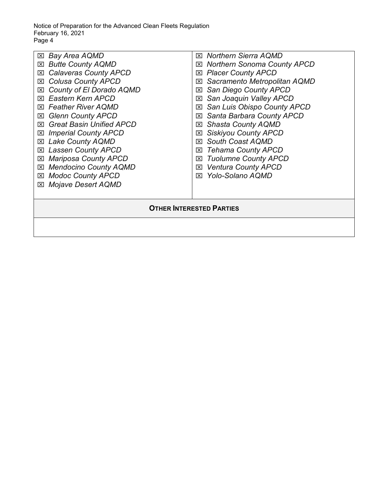Notice of Preparation for the Advanced Clean Fleets Regulation February 16, 2021 Page 4

| $\boxtimes$ Bay Area AQMD<br><b>Butte County AQMD</b><br>区<br><b>Calaveras County APCD</b><br>区<br><b>Colusa County APCD</b><br>⊠<br>County of El Dorado AQMD<br>⊠<br>Eastern Kern APCD<br>⊠<br><b>Feather River AQMD</b><br>$\mathsf{X}$<br><b>Glenn County APCD</b><br>⊠<br><b>Great Basin Unified APCD</b><br>⊠<br><b>Imperial County APCD</b><br>⊠<br><b>Lake County AQMD</b><br>図<br><b>Lassen County APCD</b><br>⊠<br><b>Mariposa County APCD</b><br>⊠<br><b>Mendocino County AQMD</b><br>⊠<br><b>Modoc County APCD</b><br>⊠<br><b>Mojave Desert AQMD</b><br>⊠ | ⊠ Northern Sierra AQMD<br><b>Northern Sonoma County APCD</b><br>$\boxtimes$<br><b>Placer County APCD</b><br>⊠<br>Sacramento Metropolitan AQMD<br>⊠<br>San Diego County APCD<br>⊠<br>San Joaquin Valley APCD<br>⊠<br>San Luis Obispo County APCD<br>⊠<br>Santa Barbara County APCD<br>⊠<br><b>Shasta County AQMD</b><br>⊠<br><b>Siskiyou County APCD</b><br>⊠<br><b>South Coast AQMD</b><br>⊠<br><b>Tehama County APCD</b><br>⊠<br><b>Tuolumne County APCD</b><br>⊠<br><b>Ventura County APCD</b><br>⊠<br>Yolo-Solano AQMD<br>⊠ |  |  |
|----------------------------------------------------------------------------------------------------------------------------------------------------------------------------------------------------------------------------------------------------------------------------------------------------------------------------------------------------------------------------------------------------------------------------------------------------------------------------------------------------------------------------------------------------------------------|--------------------------------------------------------------------------------------------------------------------------------------------------------------------------------------------------------------------------------------------------------------------------------------------------------------------------------------------------------------------------------------------------------------------------------------------------------------------------------------------------------------------------------|--|--|
| <b>OTHER INTERESTED PARTIES</b>                                                                                                                                                                                                                                                                                                                                                                                                                                                                                                                                      |                                                                                                                                                                                                                                                                                                                                                                                                                                                                                                                                |  |  |
|                                                                                                                                                                                                                                                                                                                                                                                                                                                                                                                                                                      |                                                                                                                                                                                                                                                                                                                                                                                                                                                                                                                                |  |  |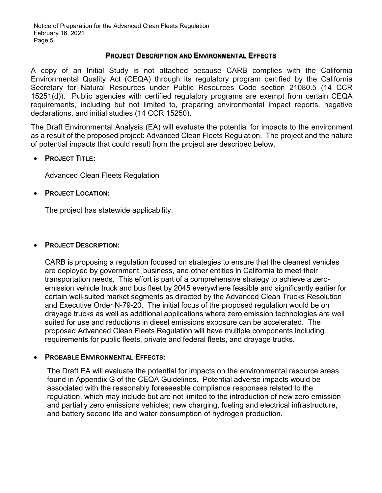Notice of Preparation for the Advanced Clean Fleets Regulation February 16, 2021 Page 5

### **PROJECT DESCRIPTION AND ENVIRONMENTAL EFFECTS**

A copy of an Initial Study is not attached because CARB complies with the California Environmental Quality Act (CEQA) through its regulatory program certified by the California Secretary for Natural Resources under Public Resources Code section 21080.5 (14 CCR 15251(d)). Public agencies with certified regulatory programs are exempt from certain CEQA requirements, including but not limited to, preparing environmental impact reports, negative declarations, and initial studies (14 CCR 15250).

The Draft Environmental Analysis (EA) will evaluate the potential for impacts to the environment as a result of the proposed project: Advanced Clean Fleets Regulation. The project and the nature of potential impacts that could result from the project are described below.

### • **PROJECT TITLE:**

Advanced Clean Fleets Regulation

### • **PROJECT LOCATION:**

The project has statewide applicability.

### • **PROJECT DESCRIPTION:**

CARB is proposing a regulation focused on strategies to ensure that the cleanest vehicles are deployed by government, business, and other entities in California to meet their transportation needs. This effort is part of a comprehensive strategy to achieve a zeroemission vehicle truck and bus fleet by 2045 everywhere feasible and significantly earlier for certain well-suited market segments as directed by the Advanced Clean Trucks Resolution and Executive Order N-79-20. The initial focus of the proposed regulation would be on drayage trucks as well as additional applications where zero emission technologies are well suited for use and reductions in diesel emissions exposure can be accelerated. The proposed Advanced Clean Fleets Regulation will have multiple components including requirements for public fleets, private and federal fleets, and drayage trucks.

### • **PROBABLE ENVIRONMENTAL EFFECTS:**

The Draft EA will evaluate the potential for impacts on the environmental resource areas found in Appendix G of the CEQA Guidelines. Potential adverse impacts would be associated with the reasonably foreseeable compliance responses related to the regulation, which may include but are not limited to the introduction of new zero emission and partially zero emissions vehicles; new charging, fueling and electrical infrastructure, and battery second life and water consumption of hydrogen production.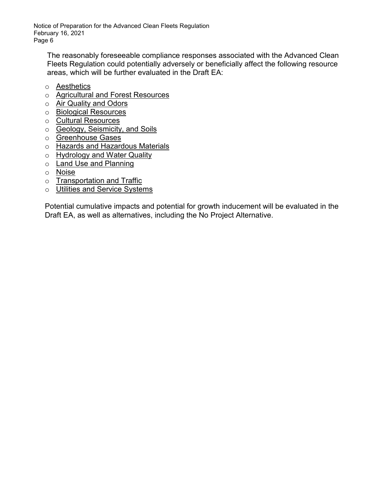Notice of Preparation for the Advanced Clean Fleets Regulation February 16, 2021 Page 6

The reasonably foreseeable compliance responses associated with the Advanced Clean Fleets Regulation could potentially adversely or beneficially affect the following resource areas, which will be further evaluated in the Draft EA:

- o Aesthetics
- o Agricultural and Forest Resources
- o Air Quality and Odors
- o Biological Resources
- o Cultural Resources
- o Geology, Seismicity, and Soils
- o Greenhouse Gases
- o Hazards and Hazardous Materials
- o Hydrology and Water Quality
- o **Land Use and Planning**
- o Noise
- o Transportation and Traffic
- o Utilities and Service Systems

Potential cumulative impacts and potential for growth inducement will be evaluated in the Draft EA, as well as alternatives, including the No Project Alternative.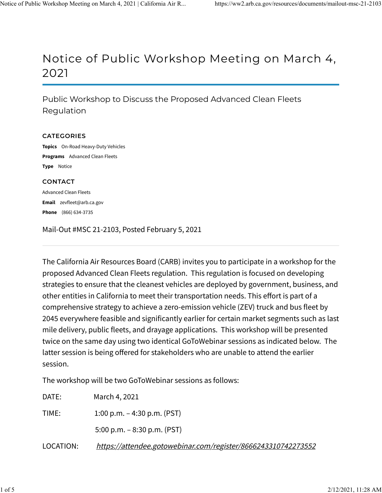### Notice of Public Workshop Meeting on March 4, 2021

Public Workshop to Discuss the Proposed Advanced Clean Fleets Regulation

#### CATEGORIES

Topics On-Road Heavy-Duty Vehicles Programs Advanced Clean Fleets Type Notice

### **CONTACT**

Email zevfleet@arb.ca.gov Phone (866) 634-3735 Advanced Clean Fleets

Mail-Out #MSC 21-2103, Posted February 5, 2021

The California Air Resources Board (CARB) invites you to participate in a workshop for the proposed Advanced Clean Fleets regulation. This regulation is focused on developing strategies to ensure that the cleanest vehicles are deployed by government, business, and other entities in California to meet their transportation needs. This effort is part of a comprehensive strategy to achieve a zero-emission vehicle (ZEV) truck and bus fleet by 2045 everywhere feasible and significantly earlier for certain market segments such as last mile delivery, public fleets, and drayage applications. This workshop will be presented twice on the same day using two identical GoToWebinar sessions as indicated below. The latter session is being offered for stakeholders who are unable to attend the earlier session.

The workshop will be two GoToWebinar sessions as follows:

| DATE:     | March 4, 2021                                                 |
|-----------|---------------------------------------------------------------|
| TIME:     | 1:00 p.m. $-$ 4:30 p.m. (PST)                                 |
|           | 5:00 p.m. $-8:30$ p.m. (PST)                                  |
| LOCATION: | https://attendee.gotowebinar.com/register/8666243310742273552 |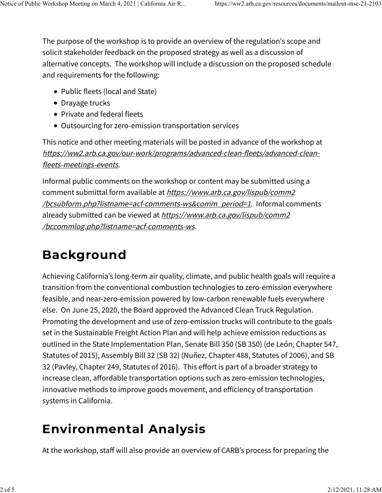The purpose of the workshop is to provide an overview of the regulation's scope and solicit stakeholder feedback on the proposed strategy as well as a discussion of alternative concepts. The workshop will include a discussion on the proposed schedule and requirements for the following:

- Public fleets (local and State)
- Drayage trucks
- Private and federal fleets
- Outsourcing for zero-emission transportation services

This notice and other meeting materials will be posted in advance of the workshop at https://ww2.arb.ca.gov/our-work/programs/advanced-clean-fleets/advanced-cleanfleets-meetings-events.

Informal public comments on the workshop or content may be submitted using a comment submittal form available at https://www.arb.ca.gov/lispub/comm2 /bcsubform.php?listname=acf-comments-ws&comm\_period=1. Informal comments already submitted can be viewed at https://www.arb.ca.gov/lispub/comm2 /bccommlog.php?listname=acf-comments-ws.

# Background

Achieving California's long-term air quality, climate, and public health goals will require a transition from the conventional combustion technologies to zero-emission everywhere feasible, and near-zero-emission powered by low-carbon renewable fuels everywhere else. On June 25, 2020, the Board approved the Advanced Clean Truck Regulation. Promoting the development and use of zero-emission trucks will contribute to the goals set in the Sustainable Freight Action Plan and will help achieve emission reductions as outlined in the State Implementation Plan, Senate Bill 350 (SB 350) (de León, Chapter 547, Statutes of 2015), Assembly Bill 32 (SB 32) (Nuñez, Chapter 488, Statutes of 2006), and SB 32 (Pavley, Chapter 249, Statutes of 2016). This effort is part of a broader strategy to increase clean, affordable transportation options such as zero-emission technologies, innovative methods to improve goods movement, and efficiency of transportation systems in California.

# Environmental Analysis

At the workshop, staff will also provide an overview of CARB's process for preparing the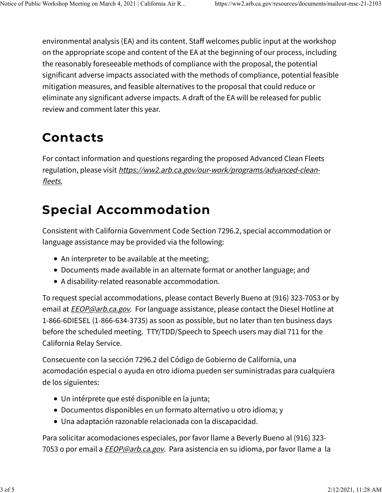environmental analysis (EA) and its content. Staff welcomes public input at the workshop on the appropriate scope and content of the EA at the beginning of our process, including the reasonably foreseeable methods of compliance with the proposal, the potential significant adverse impacts associated with the methods of compliance, potential feasible mitigation measures, and feasible alternatives to the proposal that could reduce or eliminate any significant adverse impacts. A draft of the EA will be released for public review and comment later this year.

## Contacts

For contact information and questions regarding the proposed Advanced Clean Fleets regulation, please visit https://ww2.arb.ca.gov/our-work/programs/advanced-cleanfleets.

## Special Accommodation

Consistent with California Government Code Section 7296.2, special accommodation or language assistance may be provided via the following:

- An interpreter to be available at the meeting;
- Documents made available in an alternate format or another language; and
- A disability-related reasonable accommodation.

To request special accommodations, please contact Beverly Bueno at (916) 323-7053 or by email at *EEOP@arb.ca.gov*. For language assistance, please contact the Diesel Hotline at 1-866-6DIESEL (1-866-634-3735) as soon as possible, but no later than ten business days before the scheduled meeting. TTY/TDD/Speech to Speech users may dial 711 for the California Relay Service.

Consecuente con la sección 7296.2 del Código de Gobierno de California, una acomodación especial o ayuda en otro idioma pueden ser suministradas para cualquiera de los siguientes:

- Un intérprete que esté disponible en la junta;
- Documentos disponibles en un formato alternativo u otro idioma; y
- Una adaptación razonable relacionada con la discapacidad.

Para solicitar acomodaciones especiales, por favor llame a Beverly Bueno al (916) 323- 7053 o por email a *EEOP@arb.ca.gov*. Para asistencia en su idioma, por favor llame a la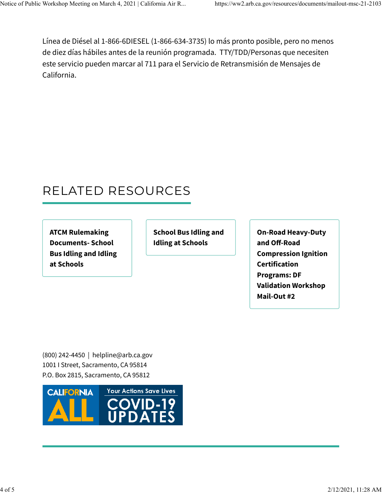Línea de Diésel al 1-866-6DIESEL (1-866-634-3735) lo más pronto posible, pero no menos de diez días hábiles antes de la reunión programada. TTY/TDD/Personas que necesiten este servicio pueden marcar al 711 para el Servicio de Retransmisión de Mensajes de California.

## RELATED RESOURCES

ATCM Rulemaking Documents- School Bus Idling and Idling at Schools

School Bus Idling and Idling at Schools

On-Road Heavy-Duty and Off-Road Compression Ignition Certification Programs: DF Validation Workshop Mail-Out #2

(800) 242-4450 | helpline@arb.ca.gov 1001 I Street, Sacramento, CA 95814 P.O. Box 2815, Sacramento, CA 95812